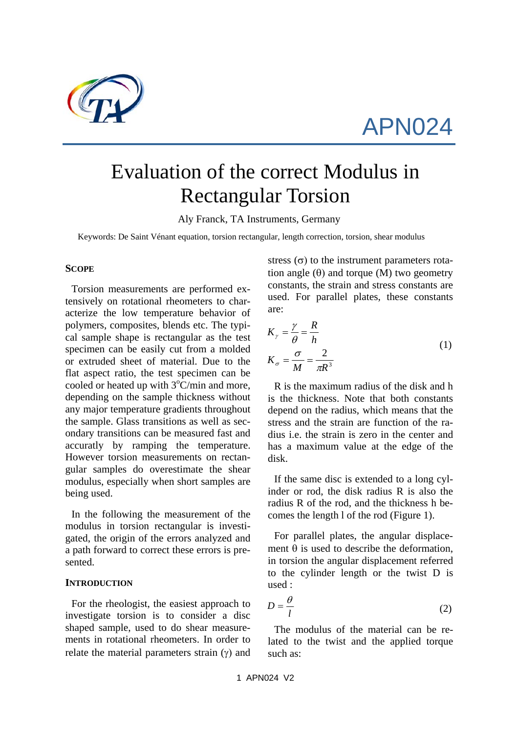



# Evaluation of the correct Modulus in Rectangular Torsion

Aly Franck, TA Instruments, Germany

Keywords: De Saint Vénant equation, torsion rectangular, length correction, torsion, shear modulus

#### **SCOPE**

Torsion measurements are performed extensively on rotational rheometers to characterize the low temperature behavior of polymers, composites, blends etc. The typical sample shape is rectangular as the test specimen can be easily cut from a molded or extruded sheet of material. Due to the flat aspect ratio, the test specimen can be cooled or heated up with  $3^{\circ}$ C/min and more, depending on the sample thickness without any major temperature gradients throughout the sample. Glass transitions as well as secondary transitions can be measured fast and accuratly by ramping the temperature. However torsion measurements on rectangular samples do overestimate the shear modulus, especially when short samples are being used.

In the following the measurement of the modulus in torsion rectangular is investigated, the origin of the errors analyzed and a path forward to correct these errors is presented.

#### **INTRODUCTION**

For the rheologist, the easiest approach to investigate torsion is to consider a disc shaped sample, used to do shear measurements in rotational rheometers. In order to relate the material parameters strain  $(y)$  and stress  $(\sigma)$  to the instrument parameters rotation angle  $(\theta)$  and torque  $(M)$  two geometry constants, the strain and stress constants are used. For parallel plates, these constants are:

$$
K_{\gamma} = \frac{\gamma}{\theta} = \frac{R}{h}
$$
  

$$
K_{\sigma} = \frac{\sigma}{M} = \frac{2}{\pi R^3}
$$
 (1)

R is the maximum radius of the disk and h is the thickness. Note that both constants depend on the radius, which means that the stress and the strain are function of the radius i.e. the strain is zero in the center and has a maximum value at the edge of the disk.

If the same disc is extended to a long cylinder or rod, the disk radius R is also the radius R of the rod, and the thickness h becomes the length l of the rod (Figure 1).

For parallel plates, the angular displacement  $\theta$  is used to describe the deformation. in torsion the angular displacement referred to the cylinder length or the twist D is used :

$$
D = \frac{\theta}{l} \tag{2}
$$

The modulus of the material can be related to the twist and the applied torque such as: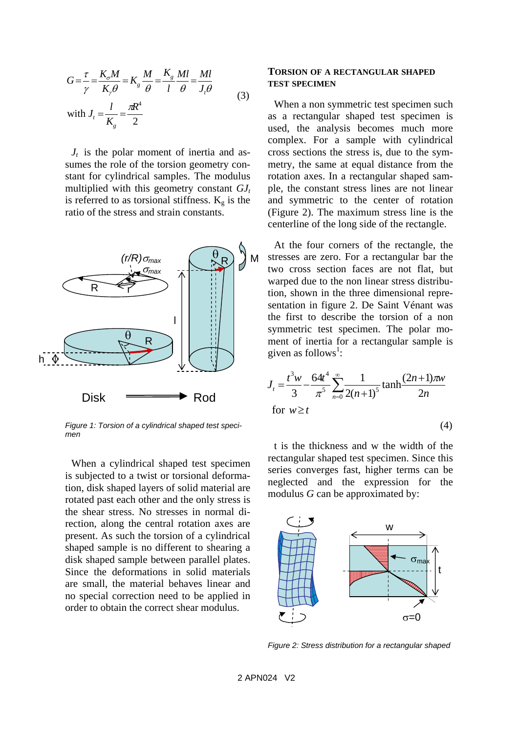$$
G = \frac{\tau}{\gamma} = \frac{K_o M}{K_{\gamma} \theta} = K_g \frac{M}{\theta} = \frac{K_g}{l} \frac{M l}{\theta} = \frac{M l}{J_{\gamma} \theta}
$$
  
with  $J_{\gamma} = \frac{l}{K_g} = \frac{\pi R^4}{2}$  (3)

 $J_t$  is the polar moment of inertia and assumes the role of the torsion geometry constant for cylindrical samples. The modulus multiplied with this geometry constant  $GJ_t$ is referred to as torsional stiffness.  $K_g$  is the ratio of the stress and strain constants.



*Figure 1: Torsion of a cylindrical shaped test specimen* 

When a cylindrical shaped test specimen is subjected to a twist or torsional deformation, disk shaped layers of solid material are rotated past each other and the only stress is the shear stress. No stresses in normal direction, along the central rotation axes are present. As such the torsion of a cylindrical shaped sample is no different to shearing a disk shaped sample between parallel plates. Since the deformations in solid materials are small, the material behaves linear and no special correction need to be applied in order to obtain the correct shear modulus.

### **TORSION OF A RECTANGULAR SHAPED TEST SPECIMEN**

When a non symmetric test specimen such as a rectangular shaped test specimen is used, the analysis becomes much more complex. For a sample with cylindrical cross sections the stress is, due to the symmetry, the same at equal distance from the rotation axes. In a rectangular shaped sample, the constant stress lines are not linear and symmetric to the center of rotation (Figure 2). The maximum stress line is the centerline of the long side of the rectangle.

At the four corners of the rectangle, the stresses are zero. For a rectangular bar the two cross section faces are not flat, but warped due to the non linear stress distribution, shown in the three dimensional representation in figure 2. De Saint Vénant was the first to describe the torsion of a non symmetric test specimen. The polar moment of inertia for a rectangular sample is given as follows<sup>1</sup>:

$$
J_{t} = \frac{t^{3}w}{3} - \frac{64t^{4}}{\pi^{5}} \sum_{n=0}^{\infty} \frac{1}{2(n+1)^{5}} \tanh \frac{(2n+1)\pi w}{2n}
$$
  
for  $w \ge t$  (4)

t is the thickness and w the width of the rectangular shaped test specimen. Since this series converges fast, higher terms can be neglected and the expression for the modulus *G* can be approximated by:



*Figure 2: Stress distribution for a rectangular shaped*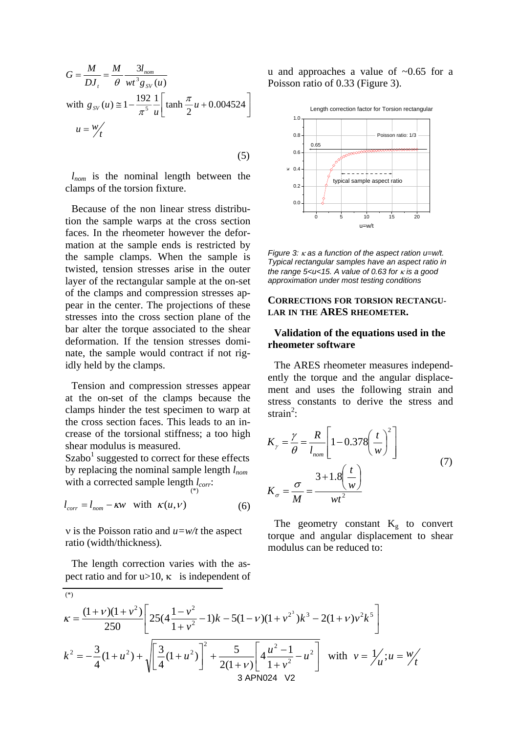$$
G = \frac{M}{DJ_t} = \frac{M}{\theta} \frac{3l_{nom}}{wt^3 g_{SV}(u)}
$$
  
with  $g_{SV}(u) \approx 1 - \frac{192}{\pi^5} \frac{1}{u} \left[ \tanh \frac{\pi}{2} u + 0.004524 \right]$   
 $u = \frac{W}{t}$ 

 $(5)$ 

*lnom* is the nominal length between the clamps of the torsion fixture.

Because of the non linear stress distribution the sample warps at the cross section faces. In the rheometer however the deformation at the sample ends is restricted by the sample clamps. When the sample is twisted, tension stresses arise in the outer layer of the rectangular sample at the on-set of the clamps and compression stresses appear in the center. The projections of these stresses into the cross section plane of the bar alter the torque associated to the shear deformation. If the tension stresses dominate, the sample would contract if not rigidly held by the clamps.

Tension and compression stresses appear at the on-set of the clamps because the clamps hinder the test specimen to warp at the cross section faces. This leads to an increase of the torsional stiffness; a too high shear modulus is measured.

Szabo $<sup>1</sup>$  suggested to correct for these effects</sup> by replacing the nominal sample length *lnom* with a corrected sample length  $l_{corr}$ : (\*)

$$
l_{corr} = l_{nom} - \kappa w \quad \text{with} \quad \kappa(u, v) \tag{6}
$$

ν is the Poisson ratio and *u=w/t* the aspect ratio (width/thickness)*.* 

The length correction varies with the aspect ratio and for u>10,  $\kappa$  is independent of

 $\overline{\phantom{a}}$ 

u and approaches a value of  $\sim 0.65$  for a Poisson ratio of 0.33 (Figure 3).



*Figure 3:* κ *as a function of the aspect ration u=w/t. Typical rectangular samples have an aspect ratio in the range 5<u<15. A value of 0.63 for* κ *is a good approximation under most testing conditions* 

#### **CORRECTIONS FOR TORSION RECTANGU-LAR IN THE ARES RHEOMETER.**

## **Validation of the equations used in the rheometer software**

The ARES rheometer measures independently the torque and the angular displacement and uses the following strain and stress constants to derive the stress and strain<sup>2</sup>:

$$
K_{\gamma} = \frac{\gamma}{\theta} = \frac{R}{l_{nom}} \left[ 1 - 0.378 \left( \frac{t}{w} \right)^2 \right]
$$
  

$$
K_{\sigma} = \frac{\sigma}{M} = \frac{3 + 1.8 \left( \frac{t}{w} \right)}{w t^2}
$$
 (7)

The geometry constant  $K<sub>g</sub>$  to convert torque and angular displacement to shear modulus can be reduced to:

$$
\kappa = \frac{(1+\nu)(1+\nu^2)}{250} \left[ 25(4\frac{1-\nu^2}{1+\nu^2} - 1)k - 5(1-\nu)(1+\nu^{2^3})k^3 - 2(1+\nu)\nu^2k^5 \right]
$$
  

$$
k^2 = -\frac{3}{4}(1+u^2) + \sqrt{\left[\frac{3}{4}(1+u^2)\right]^2 + \frac{5}{2(1+\nu)} \left[4\frac{u^2-1}{1+\nu^2} - u^2\right]}
$$
 with  $\nu = \frac{1}{u}$ ;  $u = \frac{w}{t}$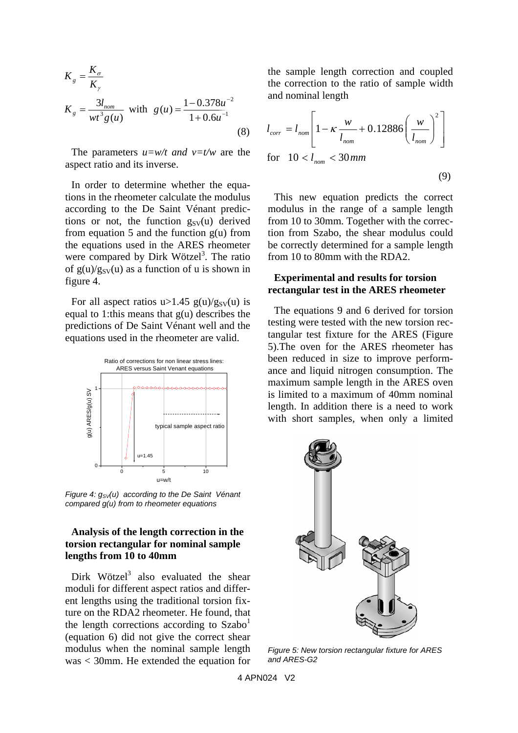$$
K_{g} = \frac{K_{\sigma}}{K_{\gamma}}
$$
  
\n
$$
K_{g} = \frac{3l_{nom}}{wt^{3}g(u)} \text{ with } g(u) = \frac{1 - 0.378u^{-2}}{1 + 0.6u^{-1}}
$$
\n(8)

The parameters  $u=w/t$  *and*  $v=t/w$  are the aspect ratio and its inverse.

In order to determine whether the equations in the rheometer calculate the modulus according to the De Saint Vénant predictions or not, the function  $g_{SV}(u)$  derived from equation 5 and the function  $g(u)$  from the equations used in the ARES rheometer were compared by Dirk Wötzel<sup>3</sup>. The ratio of  $g(u)/g_{SV}(u)$  as a function of u is shown in figure 4.

For all aspect ratios u>1.45  $g(u)/g_{SV}(u)$  is equal to 1:this means that  $g(u)$  describes the predictions of De Saint Vénant well and the equations used in the rheometer are valid.



*Figure 4:*  $g_{S}$ *V(u)* according to the De Saint Vénant *compared g(u) from to rheometer equations* 

# **Analysis of the length correction in the torsion rectangular for nominal sample lengths from 10 to 40mm**

Dirk Wötzel<sup>3</sup> also evaluated the shear moduli for different aspect ratios and different lengths using the traditional torsion fixture on the RDA2 rheometer. He found, that the length corrections according to  $Szabo<sup>1</sup>$ (equation 6) did not give the correct shear modulus when the nominal sample length was < 30mm. He extended the equation for

the sample length correction and coupled the correction to the ratio of sample width and nominal length

$$
l_{corr} = l_{nom} \left[ 1 - \kappa \frac{w}{l_{nom}} + 0.12886 \left( \frac{w}{l_{nom}} \right)^{2} \right]
$$
  
for 10 < l\_{nom} < 30 mm (9)

This new equation predicts the correct modulus in the range of a sample length from 10 to 30mm. Together with the correction from Szabo, the shear modulus could be correctly determined for a sample length from 10 to 80mm with the RDA2.

#### **Experimental and results for torsion rectangular test in the ARES rheometer**

The equations 9 and 6 derived for torsion testing were tested with the new torsion rectangular test fixture for the ARES (Figure 5).The oven for the ARES rheometer has been reduced in size to improve performance and liquid nitrogen consumption. The maximum sample length in the ARES oven is limited to a maximum of 40mm nominal length. In addition there is a need to work with short samples, when only a limited



*Figure 5: New torsion rectangular fixture for ARES and ARES-G2*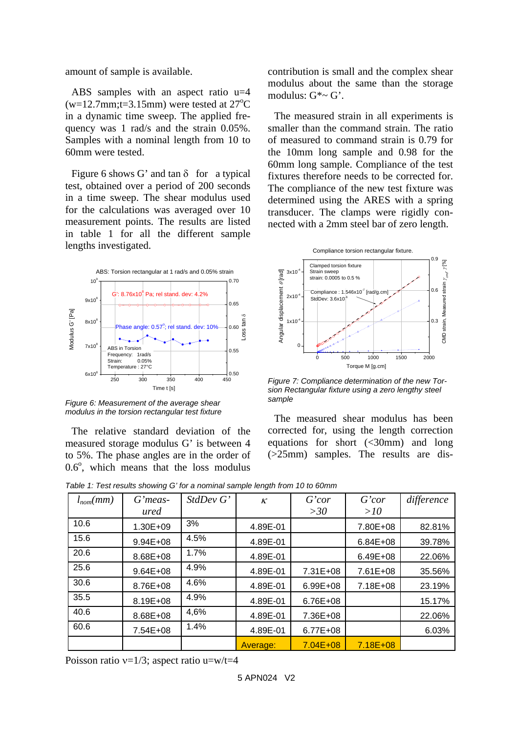amount of sample is available.

ABS samples with an aspect ratio  $u=4$  $(w=12.7$ mm;t=3.15mm) were tested at 27<sup>o</sup>C in a dynamic time sweep. The applied frequency was 1 rad/s and the strain 0.05%. Samples with a nominal length from 10 to 60mm were tested.

Figure 6 shows G' and tan  $\delta$  for a typical test, obtained over a period of 200 seconds in a time sweep. The shear modulus used for the calculations was averaged over 10 measurement points. The results are listed in table 1 for all the different sample lengths investigated.



*Figure 6: Measurement of the average shear modulus in the torsion rectangular test fixture* 

The relative standard deviation of the measured storage modulus G' is between 4 to 5%. The phase angles are in the order of  $0.6^\circ$ , which means that the loss modulus contribution is small and the complex shear modulus about the same than the storage modulus:  $G^*$ ~  $G'$ .

The measured strain in all experiments is smaller than the command strain. The ratio of measured to command strain is 0.79 for the 10mm long sample and 0.98 for the 60mm long sample. Compliance of the test fixtures therefore needs to be corrected for. The compliance of the new test fixture was determined using the ARES with a spring transducer. The clamps were rigidly connected with a 2mm steel bar of zero length.



*Figure 7: Compliance determination of the new Torsion Rectangular fixture using a zero lengthy steel sample* 

The measured shear modulus has been corrected for, using the length correction equations for short  $\langle$  <30mm) and long (>25mm) samples. The results are dis-

*Table 1: Test results showing G' for a nominal sample length from 10 to 60mm* 

| $l_{nom}(mm)$ | $G'meas-$    | StdDev G' | $\kappa$ | G'cor        | G'cor        | difference |
|---------------|--------------|-----------|----------|--------------|--------------|------------|
|               | ured         |           |          | >30          | >10          |            |
| 10.6          | $1.30E + 09$ | 3%        | 4.89E-01 |              | 7.80E+08     | 82.81%     |
| 15.6          | $9.94E + 08$ | 4.5%      | 4.89E-01 |              | $6.84E + 08$ | 39.78%     |
| 20.6          | 8.68E+08     | 1.7%      | 4.89E-01 |              | $6.49E + 08$ | 22.06%     |
| 25.6          | $9.64E + 08$ | 4.9%      | 4.89E-01 | 7.31E+08     | 7.61E+08     | 35.56%     |
| 30.6          | 8.76E+08     | 4.6%      | 4.89E-01 | $6.99E + 08$ | 7.18E+08     | 23.19%     |
| 35.5          | 8.19E+08     | 4.9%      | 4.89E-01 | 6.76E+08     |              | 15.17%     |
| 40.6          | 8.68E+08     | 4,6%      | 4.89E-01 | 7.36E+08     |              | 22.06%     |
| 60.6          | 7.54E+08     | 1.4%      | 4.89E-01 | 6.77E+08     |              | 6.03%      |
|               |              |           | Average: | $7.04E + 08$ | 7.18E+08     |            |

Poisson ratio  $v=1/3$ ; aspect ratio u=w/t=4